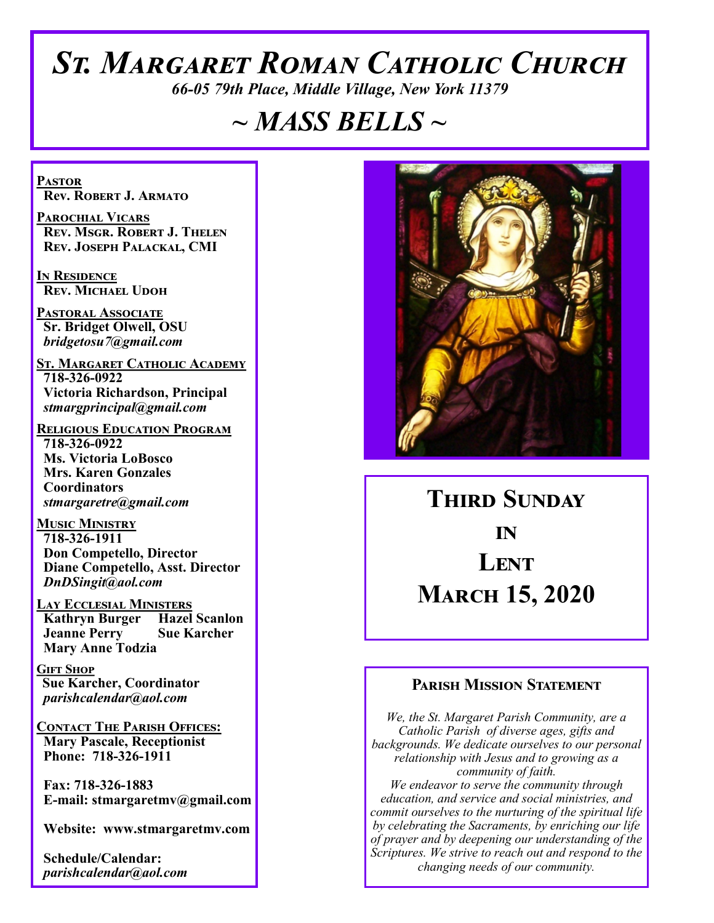# *St. Margaret Roman Catholic Church*

*66-05 79th Place, Middle Village, New York 11379*

# *~ MASS BELLS ~*

**Pastor Rev. Robert J. Armato**

**Parochial Vicars Rev. Msgr. Robert J. Thelen Rev. Joseph Palackal, CMI**

**In Residence Rev. Michael Udoh**

**Pastoral Associate Sr. Bridget Olwell, OSU**  *bridgetosu7@gmail.com*

**St. Margaret Catholic Academy 718-326-0922 Victoria Richardson, Principal**  *stmargprincipal@gmail.com*

**Religious Education Program 718-326-0922 Ms. Victoria LoBosco Mrs. Karen Gonzales Coordinators** *stmargaretre@gmail.com*

**Music Ministry 718-326-1911 Don Competello, Director Diane Competello, Asst. Director** *DnDSingit@aol.com*

**LAY ECCLESIAL MINISTERS<br>
Kathryn Burger Hazel Scanlon Kathryn Burger Jeanne Perry Sue Karcher Mary Anne Todzia**

**Gift Shop Sue Karcher, Coordinator** *parishcalendar@aol.com*

**Contact The Parish Offices: Mary Pascale, Receptionist Phone: 718-326-1911** 

 **Fax: 718-326-1883 E-mail: stmargaretmv@gmail.com**

 **Website: www.stmargaretmv.com**

 **Schedule/Calendar:** *parishcalendar@aol.com* 



**Third Sunday in Lent March 15, 2020** 

### **Parish Mission Statement**

*We, the St. Margaret Parish Community, are a Catholic Parish of diverse ages, gifts and backgrounds. We dedicate ourselves to our personal relationship with Jesus and to growing as a community of faith. We endeavor to serve the community through education, and service and social ministries, and commit ourselves to the nurturing of the spiritual life by celebrating the Sacraments, by enriching our life of prayer and by deepening our understanding of the Scriptures. We strive to reach out and respond to the changing needs of our community.*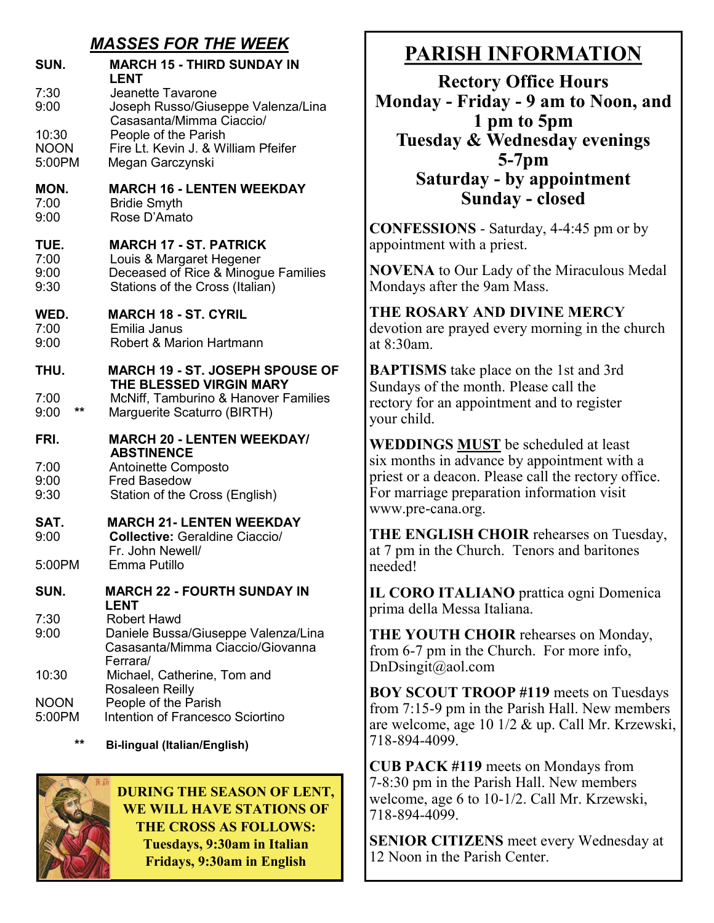# *MASSES FOR THE WEEK*

|                                | אווו זט ו טבטטר <i>ו</i> וו<br>,,,,,,,                                                                                              |
|--------------------------------|-------------------------------------------------------------------------------------------------------------------------------------|
| SUN.                           | <b>MARCH 15 - THIRD SUNDAY IN</b><br>LENT                                                                                           |
| 7:30<br>9:00                   | Jeanette Tavarone<br>Joseph Russo/Giuseppe Valenza/Lina<br>Casasanta/Mimma Ciaccio/                                                 |
| 10:30<br><b>NOON</b><br>5:00PM | People of the Parish<br>Fire Lt. Kevin J. & William Pfeifer<br>Megan Garczynski                                                     |
| MON.<br>7:00<br>9:00           | <b>MARCH 16 - LENTEN WEEKDAY</b><br><b>Bridie Smyth</b><br>Rose D'Amato                                                             |
| TUE.<br>7:00<br>9:00<br>9:30   | <b>MARCH 17 - ST. PATRICK</b><br>Louis & Margaret Hegener<br>Deceased of Rice & Minogue Families<br>Stations of the Cross (Italian) |
| WED.<br>7:00<br>9:00           | <b>MARCH 18 - ST. CYRIL</b><br>Emilia Janus<br><b>Robert &amp; Marion Hartmann</b>                                                  |
| THU.                           | <b>MARCH 19 - ST. JOSEPH SPOUSE OF</b><br>THE BLESSED VIRGIN MARY                                                                   |
| 7:00<br>$***$<br>9:00          | <b>McNiff, Tamburino &amp; Hanover Families</b><br>Marguerite Scaturro (BIRTH)                                                      |
| FRI.                           | <b>MARCH 20 - LENTEN WEEKDAY/</b><br><b>ABSTINENCE</b>                                                                              |
| 7:00<br>9:00<br>9:30           | Antoinette Composto<br><b>Fred Basedow</b><br>Station of the Cross (English)                                                        |
| SAT.<br>9:00                   | <b>MARCH 21- LENTEN WEEKDAY</b><br><b>Collective: Geraldine Ciaccio/</b><br>Fr. John Newell/                                        |
| 5:00PM                         | Emma Putillo                                                                                                                        |
| SUN.                           | <b>MARCH 22 - FOURTH SUNDAY IN</b><br>LENT                                                                                          |
| 7:30<br>9:00                   | <b>Robert Hawd</b><br>Daniele Bussa/Giuseppe Valenza/Lina<br>Casasanta/Mimma Ciaccio/Giovanna                                       |
| 10:30                          | Ferrara/<br>Michael, Catherine, Tom and<br><b>Rosaleen Reilly</b>                                                                   |
| <b>NOON</b><br>5:00PM          | People of the Parish<br>Intention of Francesco Sciortino                                                                            |

**\*\* Bi-lingual (Italian/English)**



**DURING THE SEASON OF LENT, WE WILL HAVE STATIONS OF THE CROSS AS FOLLOWS: Tuesdays, 9:30am in Italian Fridays, 9:30am in English** 

# **PARISH INFORMATION**

**Rectory Office Hours Monday - Friday - 9 am to Noon, and 1 pm to 5pm Tuesday & Wednesday evenings 5-7pm Saturday - by appointment Sunday - closed**

**CONFESSIONS** - Saturday, 4-4:45 pm or by appointment with a priest.

**NOVENA** to Our Lady of the Miraculous Medal Mondays after the 9am Mass.

#### **THE ROSARY AND DIVINE MERCY** devotion are prayed every morning in the church at 8:30am.

**BAPTISMS** take place on the 1st and 3rd Sundays of the month. Please call the rectory for an appointment and to register your child.

**WEDDINGS MUST** be scheduled at least six months in advance by appointment with a priest or a deacon. Please call the rectory office. For marriage preparation information visit www.pre-cana.org.

**THE ENGLISH CHOIR** rehearses on Tuesday, at 7 pm in the Church. Tenors and baritones needed!

**IL CORO ITALIANO** prattica ogni Domenica prima della Messa Italiana.

**THE YOUTH CHOIR** rehearses on Monday, from 6-7 pm in the Church. For more info, DnDsingit@aol.com

**BOY SCOUT TROOP #119** meets on Tuesdays from 7:15-9 pm in the Parish Hall. New members are welcome, age 10 1/2 & up. Call Mr. Krzewski, 718-894-4099.

**CUB PACK #119** meets on Mondays from 7-8:30 pm in the Parish Hall. New members welcome, age 6 to 10-1/2. Call Mr. Krzewski, 718-894-4099.

**SENIOR CITIZENS** meet every Wednesday at 12 Noon in the Parish Center.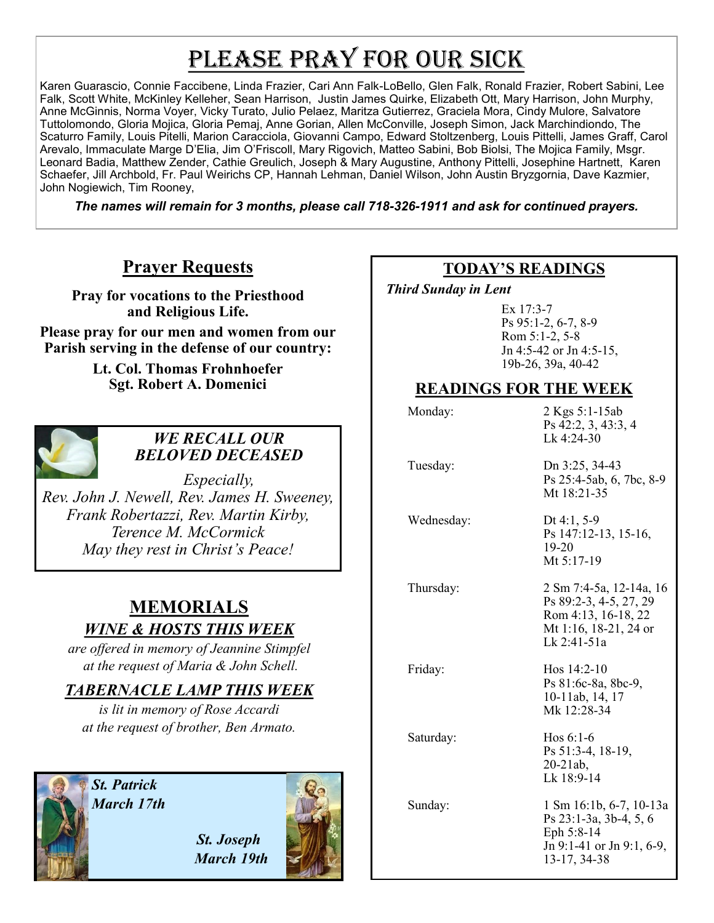# PLEASE PRAY FOR OUR SICK

Karen Guarascio, Connie Faccibene, Linda Frazier, Cari Ann Falk-LoBello, Glen Falk, Ronald Frazier, Robert Sabini, Lee Falk, Scott White, McKinley Kelleher, Sean Harrison, Justin James Quirke, Elizabeth Ott, Mary Harrison, John Murphy, Anne McGinnis, Norma Voyer, Vicky Turato, Julio Pelaez, Maritza Gutierrez, Graciela Mora, Cindy Mulore, Salvatore Tuttolomondo, Gloria Mojica, Gloria Pemaj, Anne Gorian, Allen McConville, Joseph Simon, Jack Marchindiondo, The Scaturro Family, Louis Pitelli, Marion Caracciola, Giovanni Campo, Edward Stoltzenberg, Louis Pittelli, James Graff, Carol Arevalo, Immaculate Marge D'Elia, Jim O'Friscoll, Mary Rigovich, Matteo Sabini, Bob Biolsi, The Mojica Family, Msgr. Leonard Badia, Matthew Zender, Cathie Greulich, Joseph & Mary Augustine, Anthony Pittelli, Josephine Hartnett, Karen Schaefer, Jill Archbold, Fr. Paul Weirichs CP, Hannah Lehman, Daniel Wilson, John Austin Bryzgornia, Dave Kazmier, John Nogiewich, Tim Rooney,

*The names will remain for 3 months, please call 718-326-1911 and ask for continued prayers.*

# **Prayer Requests**

**Pray for vocations to the Priesthood and Religious Life.** 

**Please pray for our men and women from our Parish serving in the defense of our country:** 

> **Lt. Col. Thomas Frohnhoefer Sgt. Robert A. Domenici**



### *WE RECALL OUR BELOVED DECEASED*

*Especially, Rev. John J. Newell, Rev. James H. Sweeney, Frank Robertazzi, Rev. Martin Kirby, Terence M. McCormick May they rest in Christ's Peace!*

# **MEMORIALS** *WINE & HOSTS THIS WEEK*

*are offered in memory of Jeannine Stimpfel at the request of Maria & John Schell.*

# *TABERNACLE LAMP THIS WEEK*

*is lit in memory of Rose Accardi at the request of brother, Ben Armato.* 

*St. Patrick March 17th*



## **TODAY'S READINGS**

 *Third Sunday in Lent* 

Ex 17:3-7 Ps 95:1-2, 6-7, 8-9 Rom 5:1-2, 5-8 Jn 4:5-42 or Jn 4:5-15, 19b-26, 39a, 40-42

## **READINGS FOR THE WEEK**

| Monday:    | 2 Kgs 5:1-15ab<br>Ps 42:2, 3, 43:3, 4<br>Lk 4:24-30                                                              |
|------------|------------------------------------------------------------------------------------------------------------------|
| Tuesday:   | Dn 3:25, 34-43<br>Ps 25:4-5ab, 6, 7bc, 8-9<br>Mt 18:21-35                                                        |
| Wednesday: | Dt 4:1, $5-9$<br>Ps 147:12-13, 15-16,<br>$19-20$<br>Mt 5:17-19                                                   |
| Thursday:  | 2 Sm 7:4-5a, 12-14a, 16<br>Ps 89:2-3, 4-5, 27, 29<br>Rom 4:13, 16-18, 22<br>Mt 1:16, 18-21, 24 or<br>Lk 2:41-51a |
| Friday:    | Hos $14:2-10$<br>Ps 81:6c-8a, 8bc-9,<br>10-11ab, 14, 17<br>Mk 12:28-34                                           |
| Saturday:  | Hos $6:1-6$<br>Ps 51:3-4, 18-19,<br>$20 - 21ab$ ,<br>Lk 18:9-14                                                  |
| Sunday:    | 1 Sm 16:1b, 6-7, 10-13a<br>Ps 23:1-3a, 3b-4, 5, 6<br>Eph 5:8-14<br>Jn 9:1-41 or Jn 9:1, 6-9,<br>13-17, 34-38     |

 *St. Joseph March 19th*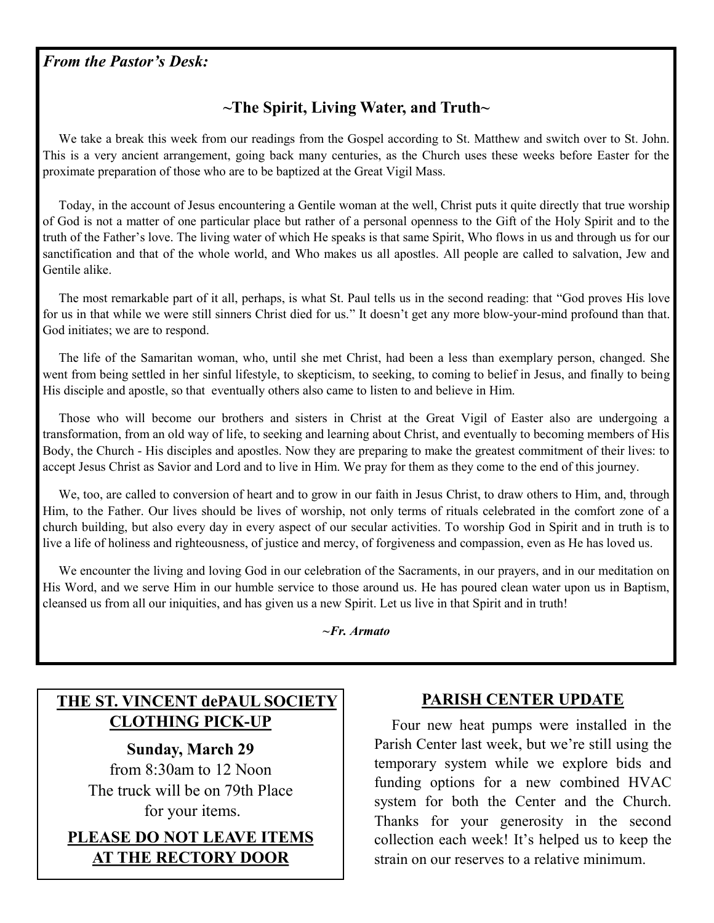### *From the Pastor's Desk:*

# **~The Spirit, Living Water, and Truth~**

 We take a break this week from our readings from the Gospel according to St. Matthew and switch over to St. John. This is a very ancient arrangement, going back many centuries, as the Church uses these weeks before Easter for the proximate preparation of those who are to be baptized at the Great Vigil Mass.

 Today, in the account of Jesus encountering a Gentile woman at the well, Christ puts it quite directly that true worship of God is not a matter of one particular place but rather of a personal openness to the Gift of the Holy Spirit and to the truth of the Father's love. The living water of which He speaks is that same Spirit, Who flows in us and through us for our sanctification and that of the whole world, and Who makes us all apostles. All people are called to salvation, Jew and Gentile alike.

 The most remarkable part of it all, perhaps, is what St. Paul tells us in the second reading: that "God proves His love for us in that while we were still sinners Christ died for us." It doesn't get any more blow-your-mind profound than that. God initiates; we are to respond.

 The life of the Samaritan woman, who, until she met Christ, had been a less than exemplary person, changed. She went from being settled in her sinful lifestyle, to skepticism, to seeking, to coming to belief in Jesus, and finally to being His disciple and apostle, so that eventually others also came to listen to and believe in Him.

 Those who will become our brothers and sisters in Christ at the Great Vigil of Easter also are undergoing a transformation, from an old way of life, to seeking and learning about Christ, and eventually to becoming members of His Body, the Church - His disciples and apostles. Now they are preparing to make the greatest commitment of their lives: to accept Jesus Christ as Savior and Lord and to live in Him. We pray for them as they come to the end of this journey.

We, too, are called to conversion of heart and to grow in our faith in Jesus Christ, to draw others to Him, and, through Him, to the Father. Our lives should be lives of worship, not only terms of rituals celebrated in the comfort zone of a church building, but also every day in every aspect of our secular activities. To worship God in Spirit and in truth is to live a life of holiness and righteousness, of justice and mercy, of forgiveness and compassion, even as He has loved us.

 We encounter the living and loving God in our celebration of the Sacraments, in our prayers, and in our meditation on His Word, and we serve Him in our humble service to those around us. He has poured clean water upon us in Baptism, cleansed us from all our iniquities, and has given us a new Spirit. Let us live in that Spirit and in truth!

*~Fr. Armato*

# **THE ST. VINCENT dePAUL SOCIETY CLOTHING PICK-UP**

**Sunday, March 29**

from 8:30am to 12 Noon The truck will be on 79th Place for your items.

**PLEASE DO NOT LEAVE ITEMS AT THE RECTORY DOOR**

### **PARISH CENTER UPDATE**

 Four new heat pumps were installed in the Parish Center last week, but we're still using the temporary system while we explore bids and funding options for a new combined HVAC system for both the Center and the Church. Thanks for your generosity in the second collection each week! It's helped us to keep the strain on our reserves to a relative minimum.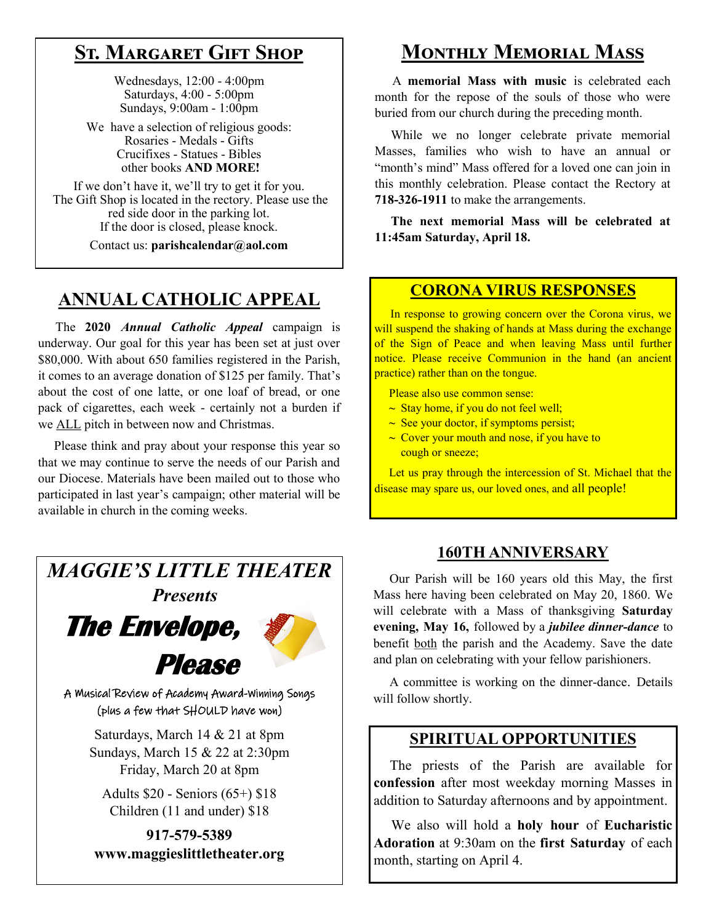# **St. Margaret Gift Shop**

Wednesdays, 12:00 - 4:00pm Saturdays, 4:00 - 5:00pm Sundays, 9:00am - 1:00pm

We have a selection of religious goods: Rosaries - Medals - Gifts Crucifixes - Statues - Bibles other books **AND MORE!**

If we don't have it, we'll try to get it for you. The Gift Shop is located in the rectory. Please use the red side door in the parking lot. If the door is closed, please knock.

Contact us: **parishcalendar@aol.com**

# **ANNUAL CATHOLIC APPEAL**

 The **2020** *Annual Catholic Appeal* campaign is underway. Our goal for this year has been set at just over \$80,000. With about 650 families registered in the Parish, it comes to an average donation of \$125 per family. That's about the cost of one latte, or one loaf of bread, or one pack of cigarettes, each week - certainly not a burden if we ALL pitch in between now and Christmas.

 Please think and pray about your response this year so that we may continue to serve the needs of our Parish and our Diocese. Materials have been mailed out to those who participated in last year's campaign; other material will be available in church in the coming weeks.

*MAGGIE'S LITTLE THEATER Presents* **The Envelope, Please**  A Musical Review of Academy Award-Winning Songs (plus a few that SHOULD have won)

> Saturdays, March 14 & 21 at 8pm Sundays, March 15 & 22 at 2:30pm Friday, March 20 at 8pm

Adults \$20 - Seniors (65+) \$18 Children (11 and under) \$18

**917-579-5389 www.maggieslittletheater.org**

# **Monthly Memorial Mass**

 A **memorial Mass with music** is celebrated each month for the repose of the souls of those who were buried from our church during the preceding month.

 While we no longer celebrate private memorial Masses, families who wish to have an annual or "month's mind" Mass offered for a loved one can join in this monthly celebration. Please contact the Rectory at **718-326-1911** to make the arrangements.

 **The next memorial Mass will be celebrated at 11:45am Saturday, April 18.** 

### **CORONA VIRUS RESPONSES**

 In response to growing concern over the Corona virus, we will suspend the shaking of hands at Mass during the exchange of the Sign of Peace and when leaving Mass until further notice. Please receive Communion in the hand (an ancient practice) rather than on the tongue.

Please also use common sense:

- **~** Stay home, if you do not feel well;
- **~** See your doctor, if symptoms persist;
- **~** Cover your mouth and nose, if you have to cough or sneeze;

 Let us pray through the intercession of St. Michael that the disease may spare us, our loved ones, and all people!

### **160TH ANNIVERSARY**

 Our Parish will be 160 years old this May, the first Mass here having been celebrated on May 20, 1860. We will celebrate with a Mass of thanksgiving **Saturday evening, May 16,** followed by a *jubilee dinner-dance* to benefit both the parish and the Academy. Save the date and plan on celebrating with your fellow parishioners.

 A committee is working on the dinner-dance. Details will follow shortly.

### **SPIRITUAL OPPORTUNITIES**

 The priests of the Parish are available for **confession** after most weekday morning Masses in addition to Saturday afternoons and by appointment.

 We also will hold a **holy hour** of **Eucharistic Adoration** at 9:30am on the **first Saturday** of each month, starting on April 4.